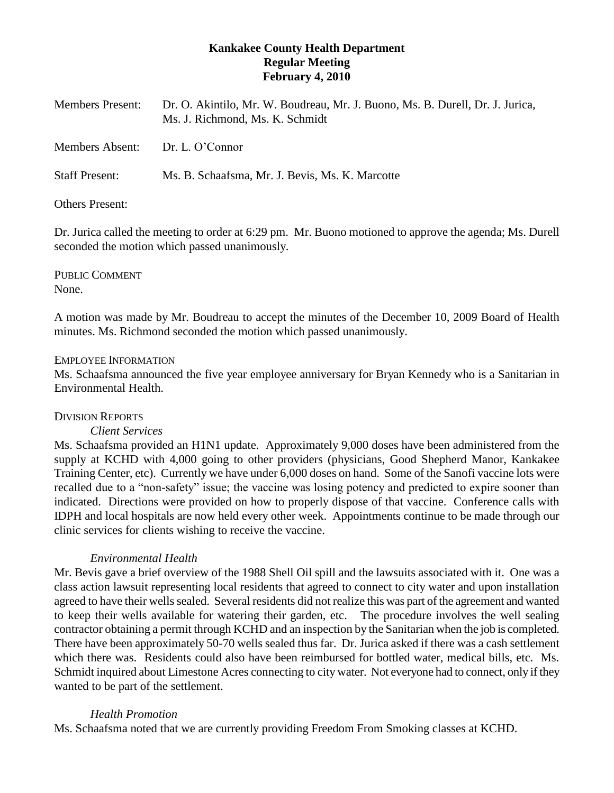# **Kankakee County Health Department Regular Meeting February 4, 2010**

| <b>Members Present:</b> | Dr. O. Akintilo, Mr. W. Boudreau, Mr. J. Buono, Ms. B. Durell, Dr. J. Jurica,<br>Ms. J. Richmond, Ms. K. Schmidt |
|-------------------------|------------------------------------------------------------------------------------------------------------------|
| <b>Members Absent:</b>  | Dr. L. O'Connor                                                                                                  |
| <b>Staff Present:</b>   | Ms. B. Schaafsma, Mr. J. Bevis, Ms. K. Marcotte                                                                  |

## Others Present:

Dr. Jurica called the meeting to order at 6:29 pm. Mr. Buono motioned to approve the agenda; Ms. Durell seconded the motion which passed unanimously.

PUBLIC COMMENT None.

A motion was made by Mr. Boudreau to accept the minutes of the December 10, 2009 Board of Health minutes. Ms. Richmond seconded the motion which passed unanimously.

### EMPLOYEE INFORMATION

Ms. Schaafsma announced the five year employee anniversary for Bryan Kennedy who is a Sanitarian in Environmental Health.

## DIVISION REPORTS

#### *Client Services*

Ms. Schaafsma provided an H1N1 update. Approximately 9,000 doses have been administered from the supply at KCHD with 4,000 going to other providers (physicians, Good Shepherd Manor, Kankakee Training Center, etc). Currently we have under 6,000 doses on hand. Some of the Sanofi vaccine lots were recalled due to a "non-safety" issue; the vaccine was losing potency and predicted to expire sooner than indicated. Directions were provided on how to properly dispose of that vaccine. Conference calls with IDPH and local hospitals are now held every other week. Appointments continue to be made through our clinic services for clients wishing to receive the vaccine.

## *Environmental Health*

Mr. Bevis gave a brief overview of the 1988 Shell Oil spill and the lawsuits associated with it. One was a class action lawsuit representing local residents that agreed to connect to city water and upon installation agreed to have their wells sealed. Several residents did not realize this was part of the agreement and wanted to keep their wells available for watering their garden, etc. The procedure involves the well sealing contractor obtaining a permit through KCHD and an inspection by the Sanitarian when the job is completed. There have been approximately 50-70 wells sealed thus far. Dr. Jurica asked if there was a cash settlement which there was. Residents could also have been reimbursed for bottled water, medical bills, etc. Ms. Schmidt inquired about Limestone Acres connecting to city water. Not everyone had to connect, only if they wanted to be part of the settlement.

### *Health Promotion*

Ms. Schaafsma noted that we are currently providing Freedom From Smoking classes at KCHD.